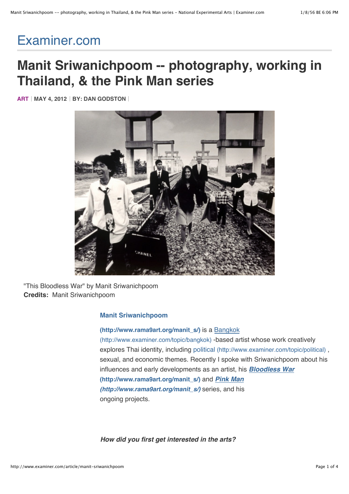# [Examiner.com](http://www.examiner.com/)

## **Manit Sriwanichpoom -- photography, working in Thailand, & the Pink Man series**

**[ART](http://www.examiner.com/topic/art) MAY 4, 2012 BY: [DAN GODSTON](http://www.examiner.com/experimental-arts-in-national/dan-godston)**



"This Bloodless War" by Manit Sriwanichpoom **Credits:** Manit Sriwanichpoom

#### **Manit Sriwanichpoom**

## **(http://www.rama9art.org/manit\_s/)** [is a Bangkok](http://www.rama9art.org/manit_s/) (http://www.examiner.com/topic/bangkok) -based artist [whose work creativel](http://www.examiner.com/topic/bangkok)y [explores Thai identi](http://www.examiner.com/topic/thailand)ty, including political [\(http://www.examiner.com/topic/political\)](http://www.examiner.com/topic/political) , sexual, and economic themes. Recently I spoke with Sriwanichpoom about his [influences and early](http://www.examiner.com/topic/bangkok) developments as an artist, his *Bloodless War* **(http://www.rama9art.org/manit\_s/)** and *Pink Man (http://www.rama9art.org/manit\_s/)* [series, and his](http://www.rama9art.org/manit_s/) [ongoing projects.](http://www.examiner.com/topic/political)

*How did you first get interested in the arts?*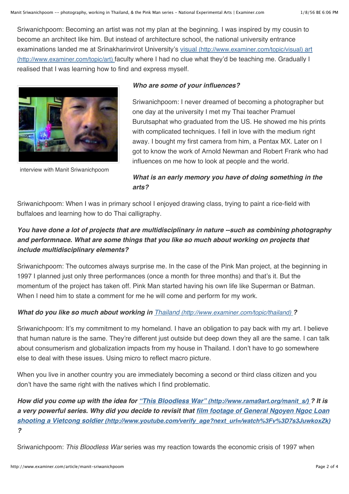Sriwanichpoom: Becoming an artist was not my plan at the beginning. I was inspired by my cousin to become an architect like him. But instead of architecture school, the national university entrance [examinations landed me at Srinakharinvirot University's](http://www.examiner.com/topic/art) [visual \(http://www.examiner.com/topic/visual\)](http://www.examiner.com/topic/visual) [art](http://www.examiner.com/topic/art) (http://www.examiner.com/topic/art) faculty where I had no clue what they'd be teaching me. Gradually I realised that I was learning how to find and express myself.



[interview with Manit Sriwanichpoom](http://www.examiner.com/video/interview-with-manit-sriwanichpoom)

#### *Who are some of your influences?*

Sriwanichpoom: I never dreamed of becoming a photographer but one day at the university I met my Thai teacher Pramuel Burutsaphat who graduated from the US. He showed me his prints with complicated techniques. I fell in love with the medium right away. I bought my first camera from him, a Pentax MX. Later on I got to know the work of Arnold Newman and Robert Frank who had influences on me how to look at people and the world.

## *What is an early memory you have of doing something in the arts?*

Sriwanichpoom: When I was in primary school I enjoyed drawing class, trying to paint a rice-field with buffaloes and learning how to do Thai calligraphy.

## *You have done a lot of projects that are multidisciplinary in nature --such as combining photography and performnace. What are some things that you like so much about working on projects that include multidisciplinary elements?*

Sriwanichpoom: The outcomes always surprise me. In the case of the Pink Man project, at the beginning in 1997 I planned just only three performances (once a month for three months) and that's it. But the momentum of the project has taken off. Pink Man started having his own life like Superman or Batman. When I need him to state a comment for me he will come and perform for my work.

### *What do you like so much about working in [Thailand \(http://www.examiner.com/topic/thailand\)](http://www.examiner.com/topic/thailand) ?*

Sriwanichpoom: It's my commitment to my homeland. I have an obligation to pay back with my art. I believe that human nature is the same. They're different just outside but deep down they all are the same. I can talk about consumerism and globalization impacts from my house in Thailand. I don't have to go somewhere else to deal with these issues. Using micro to reflect macro picture.

When you live in another country you are immediately becoming a second or third class citizen and you don't have the same right with the natives which I find problematic.

*How did you come up with the idea for ["This Bloodless War" \(http://www.rama9art.org/manit\\_s/\) ?](http://www.rama9art.org/manit_s/) It is a very powerful series. Why did you decide to revisit that film footage of General Ngoyen Ngoc Loan [shooting a Vietcong soldier \(http://www.youtube.com/verify\\_age?next\\_url=/watch%3Fv%3D7s3JuwkoxZk\)](http://www.youtube.com/verify_age?next_url=/watch%3Fv%3D7s3JuwkoxZk) ?*

Sriwanichpoom: *This Bloodless War* series was my reaction towards the economic crisis of 1997 when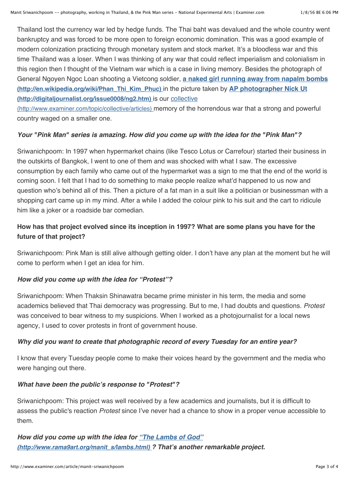Thailand lost the currency war led by hedge funds. The Thai baht was devalued and the whole country went bankruptcy and was forced to be more open to foreign economic domination. This was a good example of modern colonization practicing through monetary system and stock market. It's a bloodless war and this time Thailand was a loser. When I was thinking of any war that could reflect imperialism and colonialism in this region then I thought of the Vietnam war which is a case in living memory. Besides the photograph of [General Ngoyen Ngoc Loan shooting a Vietcong soldier,](http://en.wikipedia.org/wiki/Phan_Thi_Kim_Phuc) **a naked girl running away from napalm bombs [\(http://en.wikipedia.org/wiki/Phan\\_Thi\\_Kim\\_Phuc\)](http://digitaljournalist.org/issue0008/ng2.htm)** in the picture taken by **AP photographer Nick Ut (http://digitaljournalist.org/issue0008/ng2.htm)** is our collective

[\(http://www.examiner.com/topic/collective/articles\) memory of the h](http://www.examiner.com/topic/collective/articles)orrendous war that a strong and powerful country waged on a smaller one.

#### *Your "Pink Man" series is amazing. How did you come up with the idea for the "Pink Man"?*

Sriwanichpoom: In 1997 when hypermarket chains (like Tesco Lotus or Carrefour) started their business in the outskirts of Bangkok, I went to one of them and was shocked with what I saw. The excessive consumption by each family who came out of the hypermarket was a sign to me that the end of the world is coming soon. I felt that I had to do something to make people realize what'd happened to us now and question who's behind all of this. Then a picture of a fat man in a suit like a politician or businessman with a shopping cart came up in my mind. After a while I added the colour pink to his suit and the cart to ridicule him like a joker or a roadside bar comedian.

## **How has that project evolved since its inception in 1997? What are some plans you have for the future of that project?**

Sriwanichpoom: Pink Man is still alive although getting older. I don't have any plan at the moment but he will come to perform when I get an idea for him.

#### *How did you come up with the idea for "Protest"?*

Sriwanichpoom: When Thaksin Shinawatra became prime minister in his term, the media and some academics believed that Thai democracy was progressing. But to me, I had doubts and questions. *Protest* was conceived to bear witness to my suspicions. When I worked as a photojournalist for a local news agency, I used to cover protests in front of government house.

#### *Why did you want to create that photographic record of every Tuesday for an entire year?*

I know that every Tuesday people come to make their voices heard by the government and the media who were hanging out there.

#### *What have been the public's response to "Protest"?*

Sriwanichpoom: This project was well received by a few academics and journalists, but it is difficult to assess the public's reaction *Protest* since I've never had a chance to show in a proper venue accessible to them.

*How did you come up with the idea for "The Lambs of God" [\(http://www.rama9art.org/manit\\_s/lambs.html\) ? That's another](http://www.rama9art.org/manit_s/lambs.html) remarkable project.*